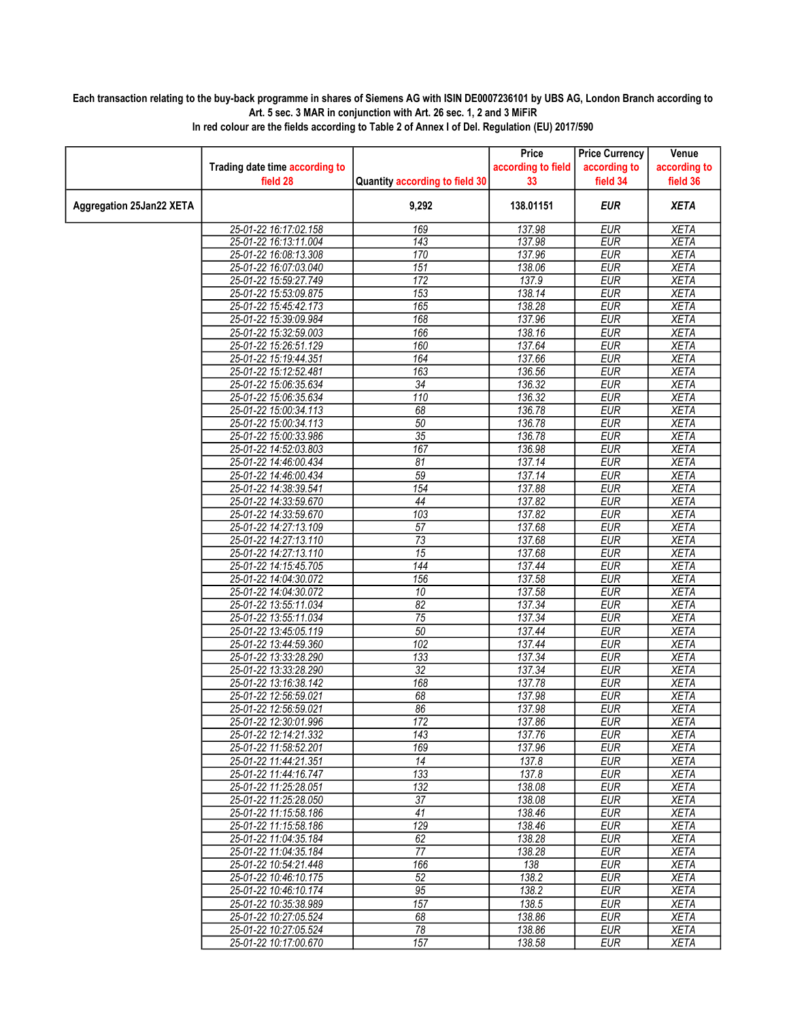## Each transaction relating to the buy-back programme in shares of Siemens AG with ISIN DE0007236101 by UBS AG, London Branch according to Art. 5 sec. 3 MAR in conjunction with Art. 26 sec. 1, 2 and 3 MiFiR

|                                 |                                                |                                | Price              | <b>Price Currency</b>    | Venue                      |
|---------------------------------|------------------------------------------------|--------------------------------|--------------------|--------------------------|----------------------------|
|                                 | Trading date time according to                 |                                | according to field | according to             | according to               |
|                                 | field 28                                       | Quantity according to field 30 | 33                 | field 34                 | field 36                   |
| <b>Aggregation 25Jan22 XETA</b> |                                                | 9,292                          | 138.01151          | <b>EUR</b>               | <b>XETA</b>                |
|                                 | 25-01-22 16:17:02.158                          | 169                            | 137.98             | <b>EUR</b>               | <b>XETA</b>                |
|                                 | 25-01-22 16:13:11.004                          | $\overline{143}$               | 137.98             | <b>EUR</b>               | <b>XETA</b>                |
|                                 | 25-01-22 16:08:13.308                          | 170                            | 137.96             | <b>EUR</b>               | <b>XETA</b>                |
|                                 | 25-01-22 16:07:03.040                          | 151                            | 138.06             | <b>EUR</b>               | <b>XETA</b>                |
|                                 | 25-01-22 15:59:27.749                          | 172                            | 137.9              | <b>EUR</b>               | <b>XETA</b>                |
|                                 | 25-01-22 15:53:09.875                          | 153                            | 138.14             | <b>EUR</b>               | <b>XETA</b>                |
|                                 | 25-01-22 15:45:42.173                          | 165                            | 138.28             | <b>EUR</b>               | <b>XETA</b>                |
|                                 | 25-01-22 15:39:09.984                          | 168                            | 137.96             | <b>EUR</b>               | <b>XETA</b>                |
|                                 | 25-01-22 15:32:59.003                          | 166                            | 138.16             | <b>EUR</b>               | <b>XETA</b>                |
|                                 | 25-01-22 15:26:51.129                          | 160                            | 137.64             | <b>EUR</b>               | <b>XETA</b>                |
|                                 | 25-01-22 15:19:44.351                          | 164                            | 137.66             | <b>EUR</b>               | <b>XETA</b>                |
|                                 | 25-01-22 15:12:52.481                          | 163                            | 136.56             | <b>EUR</b>               | <b>XETA</b>                |
|                                 | 25-01-22 15:06:35.634                          | 34                             | 136.32             | <b>EUR</b>               | <b>XETA</b>                |
|                                 | 25-01-22 15:06:35.634                          | 110                            | 136.32             | <b>EUR</b>               | <b>XETA</b>                |
|                                 | 25-01-22 15:00:34.113                          | 68                             | 136.78             | <b>EUR</b>               | <b>XETA</b>                |
|                                 | 25-01-22 15:00:34.113                          | $\overline{50}$                | 136.78             | <b>EUR</b>               | <b>XETA</b>                |
|                                 | 25-01-22 15:00:33.986                          | $\overline{35}$                | 136.78             | <b>EUR</b>               | <b>XETA</b>                |
|                                 | 25-01-22 14:52:03.803                          | 167                            | 136.98             | <b>EUR</b>               | <b>XETA</b>                |
|                                 | 25-01-22 14:46:00.434                          | 81                             | 137.14             | <b>EUR</b>               | <b>XETA</b>                |
|                                 | 25-01-22 14:46:00.434                          | 59                             | 137.14             | <b>EUR</b>               | <b>XETA</b>                |
|                                 | 25-01-22 14:38:39.541                          | 154                            | 137.88             | <b>EUR</b>               | <b>XETA</b>                |
|                                 | 25-01-22 14:33:59.670                          | 44                             | 137.82             | <b>EUR</b>               | <b>XETA</b>                |
|                                 | 25-01-22 14:33:59.670                          | 103                            | 137.82             | <b>EUR</b>               | <b>XETA</b>                |
|                                 | 25-01-22 14:27:13.109                          | $\overline{57}$                | 137.68             | <b>EUR</b>               | <b>XETA</b>                |
|                                 | 25-01-22 14:27:13.110                          | $\overline{73}$                | 137.68             | <b>EUR</b>               | <b>XETA</b>                |
|                                 | 25-01-22 14:27:13.110                          | $\overline{15}$                | 137.68             | <b>EUR</b>               | <b>XETA</b>                |
|                                 | 25-01-22 14:15:45.705                          | 144                            | 137.44             | <b>EUR</b>               | <b>XETA</b>                |
|                                 | 25-01-22 14:04:30.072                          | 156                            | 137.58             | <b>EUR</b>               | <b>XETA</b>                |
|                                 | 25-01-22 14:04:30.072                          | 10                             | 137.58             | <b>EUR</b>               | <b>XETA</b>                |
|                                 | 25-01-22 13:55:11.034                          | $\overline{82}$                | 137.34             | <b>EUR</b>               | <b>XETA</b>                |
|                                 | 25-01-22 13:55:11.034                          | 75                             | 137.34             | <b>EUR</b>               | <b>XETA</b>                |
|                                 | 25-01-22 13:45:05.119                          | 50                             | 137.44             | <b>EUR</b>               | <b>XETA</b>                |
|                                 | 25-01-22 13:44:59.360                          | 102                            | 137.44             | <b>EUR</b>               | <b>XETA</b>                |
|                                 | 25-01-22 13:33:28.290                          | 133                            | 137.34             | <b>EUR</b>               | <b>XETA</b>                |
|                                 | 25-01-22 13:33:28.290                          | 32                             | 137.34             | EUR                      | <b>XETA</b>                |
|                                 | 25-01-22 13:16:38.142                          | 168                            | 137.78             | <b>EUR</b>               | <b>XETA</b>                |
|                                 | 25-01-22 12:56:59.021<br>25-01-22 12:56:59.021 | 68                             | 137.98             | <b>EUR</b>               | <b>XETA</b>                |
|                                 |                                                | 86<br>172                      | 137.98             | <b>EUR</b><br><b>EUR</b> | <b>XETA</b><br><b>XETA</b> |
|                                 | 25-01-22 12:30:01.996<br>25-01-22 12:14:21.332 | 143                            | 137.86<br>137.76   | <b>EUR</b>               | <b>XETA</b>                |
|                                 | 25-01-22 11:58:52.201                          | 169                            |                    | EUR                      |                            |
|                                 | 25-01-22 11:44:21.351                          | $\overline{14}$                | 137.96<br>137.8    | <b>EUR</b>               | XETA<br><b>XETA</b>        |
|                                 | 25-01-22 11:44:16.747                          | 133                            | 137.8              | <b>EUR</b>               | <b>XETA</b>                |
|                                 | 25-01-22 11:25:28.051                          | 132                            | 138.08             | <b>EUR</b>               | XETA                       |
|                                 | 25-01-22 11:25:28.050                          | $\overline{37}$                | 138.08             | <b>EUR</b>               | <b>XETA</b>                |
|                                 | 25-01-22 11:15:58.186                          | 41                             | 138.46             | <b>EUR</b>               | <b>XETA</b>                |
|                                 | 25-01-22 11:15:58.186                          | 129                            | 138.46             | EUR                      | XETA                       |
|                                 | 25-01-22 11:04:35.184                          | 62                             | 138.28             | <b>EUR</b>               | <b>XETA</b>                |
|                                 | 25-01-22 11:04:35.184                          | 77                             | 138.28             | <b>EUR</b>               | <b>XETA</b>                |
|                                 | 25-01-22 10:54:21.448                          | 166                            | 138                | <b>EUR</b>               | <b>XETA</b>                |
|                                 | 25-01-22 10:46:10.175                          | $\overline{52}$                | 138.2              | <b>EUR</b>               | <b>XETA</b>                |
|                                 | 25-01-22 10:46:10.174                          | $\overline{95}$                | 138.2              | <b>EUR</b>               | <b>XETA</b>                |
|                                 | 25-01-22 10:35:38.989                          | 157                            | 138.5              | <b>EUR</b>               | <b>XETA</b>                |
|                                 | 25-01-22 10:27:05.524                          | 68                             | 138.86             | <b>EUR</b>               | <b>XETA</b>                |
|                                 | 25-01-22 10:27:05.524                          | $\overline{78}$                | 138.86             | <b>EUR</b>               | XETA                       |
|                                 | 25-01-22 10:17:00.670                          | 157                            | 138.58             | <b>EUR</b>               | <b>XETA</b>                |

In red colour are the fields according to Table 2 of Annex I of Del. Regulation (EU) 2017/590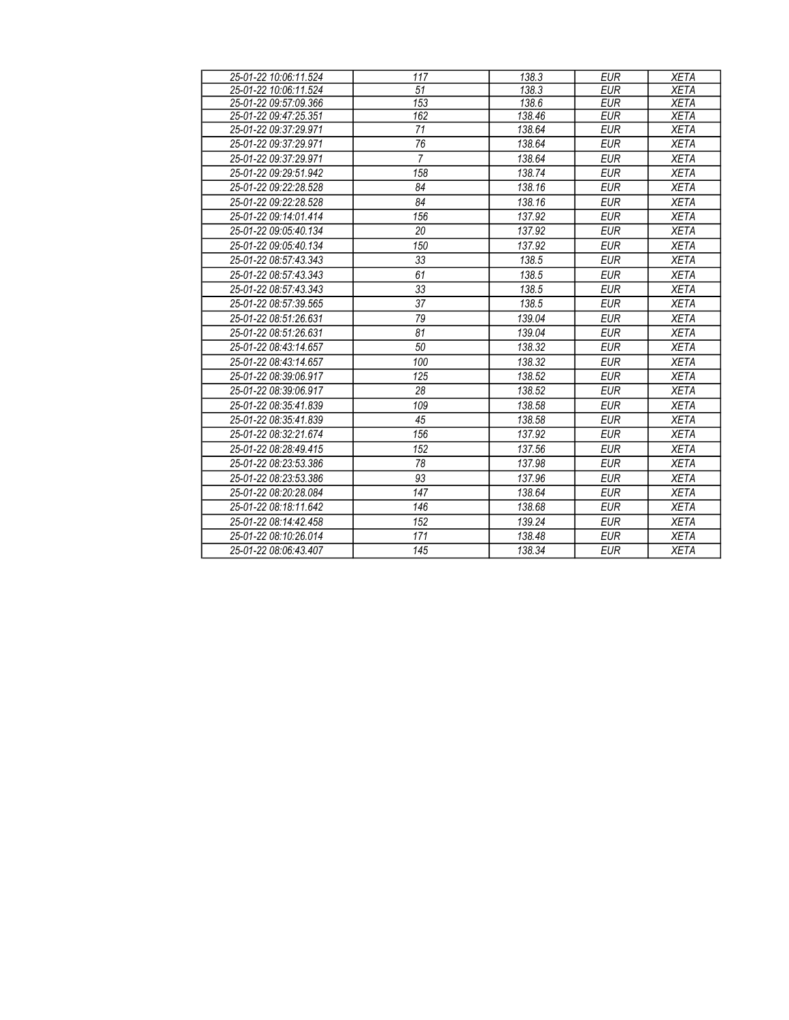| 25-01-22 10:06:11.524 | 117            | 138.3  | <b>EUR</b> | <b>XETA</b> |
|-----------------------|----------------|--------|------------|-------------|
| 25-01-22 10:06:11.524 | 51             | 138.3  | <b>EUR</b> | <b>XETA</b> |
| 25-01-22 09:57:09.366 | 153            | 138.6  | <b>EUR</b> | <b>XETA</b> |
| 25-01-22 09:47:25.351 | 162            | 138.46 | <b>EUR</b> | <b>XETA</b> |
| 25-01-22 09:37:29.971 | 71             | 138.64 | <b>EUR</b> | <b>XETA</b> |
| 25-01-22 09:37:29.971 | 76             | 138.64 | <b>EUR</b> | <b>XETA</b> |
| 25-01-22 09:37:29.971 | $\overline{7}$ | 138.64 | <b>EUR</b> | <b>XETA</b> |
| 25-01-22 09:29:51.942 | 158            | 138.74 | <b>EUR</b> | <b>XETA</b> |
| 25-01-22 09:22:28.528 | 84             | 138.16 | <b>EUR</b> | <b>XETA</b> |
| 25-01-22 09:22:28.528 | 84             | 138.16 | <b>EUR</b> | <b>XETA</b> |
| 25-01-22 09:14:01.414 | 156            | 137.92 | <b>EUR</b> | <b>XETA</b> |
| 25-01-22 09:05:40.134 | 20             | 137.92 | <b>EUR</b> | <b>XETA</b> |
| 25-01-22 09:05:40.134 | 150            | 137.92 | <b>EUR</b> | <b>XETA</b> |
| 25-01-22 08:57:43.343 | 33             | 138.5  | <b>EUR</b> | <b>XETA</b> |
| 25-01-22 08:57:43.343 | 61             | 138.5  | <b>EUR</b> | <b>XETA</b> |
| 25-01-22 08:57:43.343 | 33             | 138.5  | <b>EUR</b> | <b>XETA</b> |
| 25-01-22 08:57:39.565 | 37             | 138.5  | <b>EUR</b> | <b>XETA</b> |
| 25-01-22 08:51:26.631 | 79             | 139.04 | <b>EUR</b> | <b>XETA</b> |
| 25-01-22 08:51:26.631 | 81             | 139.04 | <b>EUR</b> | <b>XETA</b> |
| 25-01-22 08:43:14.657 | 50             | 138.32 | <b>EUR</b> | <b>XETA</b> |
| 25-01-22 08:43:14.657 | 100            | 138.32 | <b>EUR</b> | <b>XETA</b> |
| 25-01-22 08:39:06.917 | 125            | 138.52 | <b>EUR</b> | <b>XETA</b> |
| 25-01-22 08:39:06.917 | 28             | 138.52 | <b>EUR</b> | <b>XETA</b> |
| 25-01-22 08:35:41.839 | 109            | 138.58 | <b>EUR</b> | <b>XETA</b> |
| 25-01-22 08:35:41.839 | 45             | 138.58 | <b>EUR</b> | <b>XETA</b> |
| 25-01-22 08:32:21.674 | 156            | 137.92 | <b>EUR</b> | <b>XETA</b> |
| 25-01-22 08:28:49.415 | 152            | 137.56 | <b>EUR</b> | <b>XETA</b> |
| 25-01-22 08:23:53.386 | 78             | 137.98 | <b>EUR</b> | <b>XETA</b> |
| 25-01-22 08:23:53.386 | 93             | 137.96 | <b>EUR</b> | <b>XETA</b> |
| 25-01-22 08:20:28.084 | 147            | 138.64 | <b>EUR</b> | <b>XETA</b> |
| 25-01-22 08:18:11.642 | 146            | 138.68 | <b>EUR</b> | <b>XETA</b> |
| 25-01-22 08:14:42.458 | 152            | 139.24 | <b>EUR</b> | <b>XETA</b> |
| 25-01-22 08:10:26.014 | 171            | 138.48 | <b>EUR</b> | <b>XETA</b> |
| 25-01-22 08:06:43.407 | 145            | 138.34 | <b>EUR</b> | <b>XETA</b> |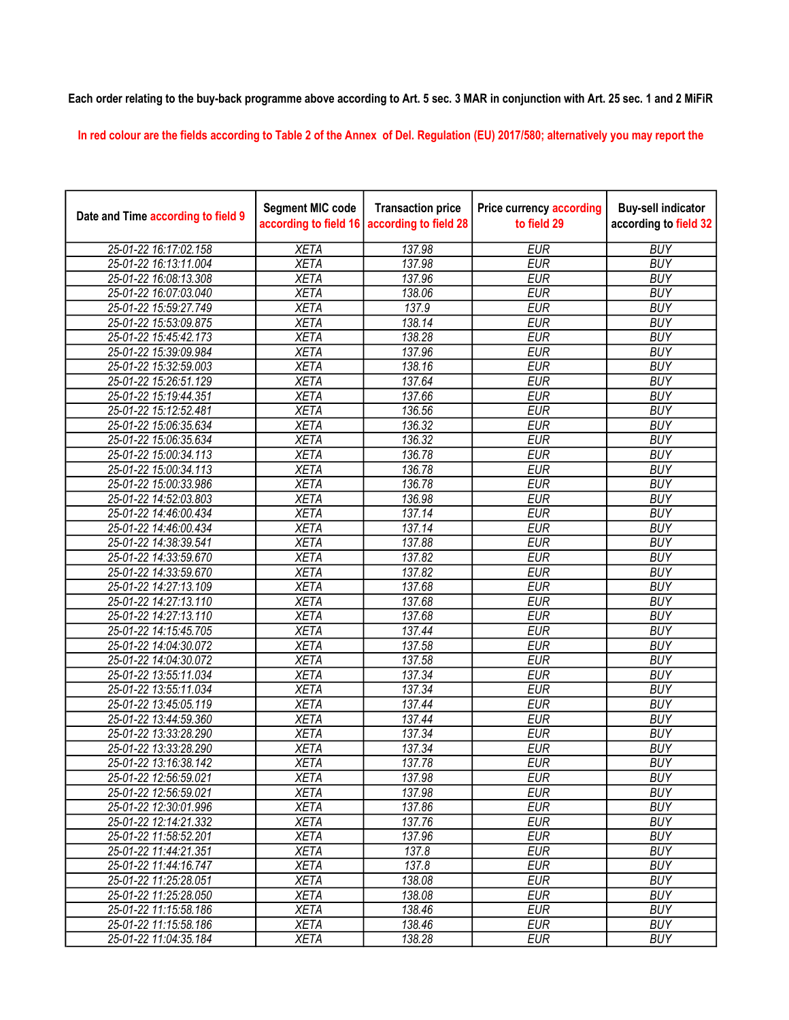## Each order relating to the buy-back programme above according to Art. 5 sec. 3 MAR in conjunction with Art. 25 sec. 1 and 2 MiFiR

In red colour are the fields according to Table 2 of the Annex of Del. Regulation (EU) 2017/580; alternatively you may report the

| Date and Time according to field 9 | <b>Segment MIC code</b><br>according to field 16 | <b>Transaction price</b><br>according to field 28 | <b>Price currency according</b><br>to field 29 | <b>Buy-sell indicator</b><br>according to field 32 |
|------------------------------------|--------------------------------------------------|---------------------------------------------------|------------------------------------------------|----------------------------------------------------|
| 25-01-22 16:17:02.158              | <b>XETA</b>                                      | 137.98                                            | <b>EUR</b>                                     | <b>BUY</b>                                         |
| 25-01-22 16:13:11.004              | <b>XETA</b>                                      | 137.98                                            | <b>EUR</b>                                     | <b>BUY</b>                                         |
| 25-01-22 16:08:13.308              | <b>XETA</b>                                      | 137.96                                            | <b>EUR</b>                                     | <b>BUY</b>                                         |
| 25-01-22 16:07:03.040              | <b>XETA</b>                                      | 138.06                                            | <b>EUR</b>                                     | <b>BUY</b>                                         |
| 25-01-22 15:59:27.749              | <b>XETA</b>                                      | 137.9                                             | <b>EUR</b>                                     | <b>BUY</b>                                         |
| 25-01-22 15:53:09.875              | <b>XETA</b>                                      | 138.14                                            | <b>EUR</b>                                     | <b>BUY</b>                                         |
| 25-01-22 15:45:42.173              | <b>XETA</b>                                      | 138.28                                            | <b>EUR</b>                                     | <b>BUY</b>                                         |
| 25-01-22 15:39:09.984              | <b>XETA</b>                                      | 137.96                                            | <b>EUR</b>                                     | <b>BUY</b>                                         |
| 25-01-22 15:32:59.003              | <b>XETA</b>                                      | 138.16                                            | <b>EUR</b>                                     | <b>BUY</b>                                         |
| 25-01-22 15:26:51.129              | <b>XETA</b>                                      | 137.64                                            | <b>EUR</b>                                     | <b>BUY</b>                                         |
| 25-01-22 15:19:44.351              | <b>XETA</b>                                      | 137.66                                            | <b>EUR</b>                                     | <b>BUY</b>                                         |
| 25-01-22 15:12:52.481              | <b>XETA</b>                                      | 136.56                                            | <b>EUR</b>                                     | <b>BUY</b>                                         |
| 25-01-22 15:06:35.634              | <b>XETA</b>                                      | 136.32                                            | <b>EUR</b>                                     | <b>BUY</b>                                         |
| 25-01-22 15:06:35.634              | <b>XETA</b>                                      | 136.32                                            | <b>EUR</b>                                     | <b>BUY</b>                                         |
| 25-01-22 15:00:34.113              | <b>XETA</b>                                      | 136.78                                            | <b>EUR</b>                                     | <b>BUY</b>                                         |
| 25-01-22 15:00:34.113              | <b>XETA</b>                                      | 136.78                                            | <b>EUR</b>                                     | <b>BUY</b>                                         |
| 25-01-22 15:00:33.986              | <b>XETA</b>                                      | 136.78                                            | <b>EUR</b>                                     | <b>BUY</b>                                         |
| 25-01-22 14:52:03.803              | <b>XETA</b>                                      | 136.98                                            | <b>EUR</b>                                     | <b>BUY</b>                                         |
| 25-01-22 14:46:00.434              | <b>XETA</b>                                      | 137.14                                            | <b>EUR</b>                                     | <b>BUY</b>                                         |
| 25-01-22 14:46:00.434              | <b>XETA</b>                                      | 137.14                                            | <b>EUR</b>                                     | <b>BUY</b>                                         |
| 25-01-22 14:38:39.541              | <b>XETA</b>                                      | 137.88                                            | <b>EUR</b>                                     | <b>BUY</b>                                         |
| 25-01-22 14:33:59.670              | <b>XETA</b>                                      | 137.82                                            | <b>EUR</b>                                     | <b>BUY</b>                                         |
| 25-01-22 14:33:59.670              | <b>XETA</b>                                      | 137.82                                            | <b>EUR</b>                                     | <b>BUY</b>                                         |
| 25-01-22 14:27:13.109              | <b>XETA</b>                                      | 137.68                                            | <b>EUR</b>                                     | <b>BUY</b>                                         |
| 25-01-22 14:27:13.110              | <b>XETA</b>                                      | 137.68                                            | <b>EUR</b>                                     | <b>BUY</b>                                         |
| 25-01-22 14:27:13.110              | <b>XETA</b>                                      | 137.68                                            | <b>EUR</b>                                     | <b>BUY</b>                                         |
| 25-01-22 14:15:45.705              | <b>XETA</b>                                      | 137.44                                            | <b>EUR</b>                                     | <b>BUY</b>                                         |
| 25-01-22 14:04:30.072              | <b>XETA</b>                                      | 137.58                                            | <b>EUR</b>                                     | <b>BUY</b>                                         |
| 25-01-22 14:04:30.072              | <b>XETA</b>                                      | 137.58                                            | <b>EUR</b>                                     | <b>BUY</b>                                         |
| 25-01-22 13:55:11.034              | <b>XETA</b>                                      | 137.34                                            | <b>EUR</b>                                     | <b>BUY</b>                                         |
| 25-01-22 13:55:11.034              | <b>XETA</b>                                      | 137.34                                            | <b>EUR</b>                                     | <b>BUY</b>                                         |
| 25-01-22 13:45:05.119              | <b>XETA</b>                                      | 137.44                                            | <b>EUR</b>                                     | <b>BUY</b>                                         |
| 25-01-22 13:44:59.360              | <b>XETA</b>                                      | 137.44                                            | <b>EUR</b>                                     | <b>BUY</b>                                         |
| 25-01-22 13:33:28.290              | <b>XETA</b>                                      | 137.34                                            | <b>EUR</b>                                     | <b>BUY</b>                                         |
| 25-01-22 13:33:28.290              | <b>XETA</b>                                      | 137.34                                            | <b>EUR</b>                                     | <b>BUY</b>                                         |
| 25-01-22 13:16:38.142              | <b>XETA</b>                                      | 137.78                                            | <b>EUR</b>                                     | <b>BUY</b>                                         |
| 25-01-22 12:56:59.021              | <b>XETA</b>                                      | 137.98                                            | <b>EUR</b>                                     | <b>BUY</b>                                         |
| 25-01-22 12:56:59.021              | <b>XETA</b>                                      | 137.98                                            | <b>EUR</b>                                     | <b>BUY</b>                                         |
| 25-01-22 12:30:01.996              | <b>XETA</b>                                      | 137.86                                            | <b>EUR</b>                                     | <b>BUY</b>                                         |
| 25-01-22 12:14:21.332              | <b>XETA</b>                                      | 137.76                                            | <b>EUR</b>                                     | <b>BUY</b>                                         |
| 25-01-22 11:58:52.201              | <b>XETA</b>                                      | 137.96                                            | <b>EUR</b>                                     | <b>BUY</b>                                         |
| 25-01-22 11:44:21.351              | <b>XETA</b>                                      | 137.8                                             | <b>EUR</b>                                     | <b>BUY</b>                                         |
| 25-01-22 11:44:16.747              | <b>XETA</b>                                      | 137.8                                             | <b>EUR</b>                                     | <b>BUY</b>                                         |
| 25-01-22 11:25:28.051              | <b>XETA</b>                                      | 138.08                                            | <b>EUR</b>                                     | <b>BUY</b>                                         |
| 25-01-22 11:25:28.050              | <b>XETA</b>                                      | 138.08                                            | <b>EUR</b>                                     | <b>BUY</b>                                         |
| 25-01-22 11:15:58.186              | <b>XETA</b>                                      | 138.46                                            | <b>EUR</b>                                     | <b>BUY</b>                                         |
| 25-01-22 11:15:58.186              | <b>XETA</b>                                      | 138.46                                            | <b>EUR</b>                                     | <b>BUY</b>                                         |
| 25-01-22 11:04:35.184              | <b>XETA</b>                                      | 138.28                                            | <b>EUR</b>                                     | <b>BUY</b>                                         |